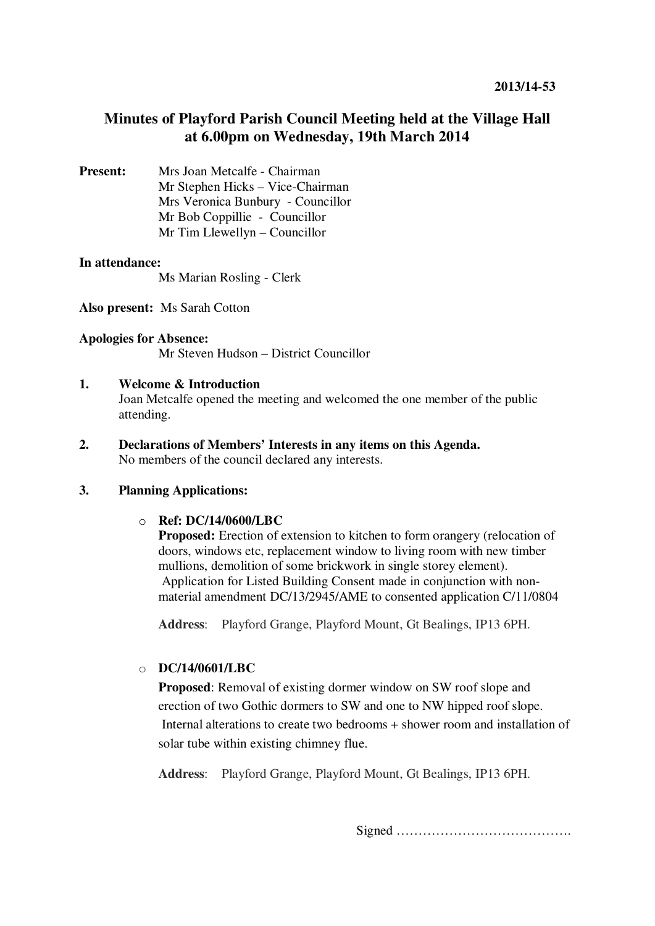# **Minutes of Playford Parish Council Meeting held at the Village Hall at 6.00pm on Wednesday, 19th March 2014**

**Present:** Mrs Joan Metcalfe - Chairman Mr Stephen Hicks – Vice-Chairman Mrs Veronica Bunbury - Councillor Mr Bob Coppillie - Councillor Mr Tim Llewellyn – Councillor

## **In attendance:**

Ms Marian Rosling - Clerk

**Also present:** Ms Sarah Cotton

### **Apologies for Absence:**  Mr Steven Hudson – District Councillor

## **1. Welcome & Introduction**

Joan Metcalfe opened the meeting and welcomed the one member of the public attending.

**2. Declarations of Members' Interests in any items on this Agenda.**  No members of the council declared any interests.

## **3. Planning Applications:**

## o **Ref: DC/14/0600/LBC**

**Proposed:** Erection of extension to kitchen to form orangery (relocation of doors, windows etc, replacement window to living room with new timber mullions, demolition of some brickwork in single storey element). Application for Listed Building Consent made in conjunction with nonmaterial amendment DC/13/2945/AME to consented application C/11/0804

**Address**: Playford Grange, Playford Mount, Gt Bealings, IP13 6PH.

## o **DC/14/0601/LBC**

**Proposed**: Removal of existing dormer window on SW roof slope and erection of two Gothic dormers to SW and one to NW hipped roof slope. Internal alterations to create two bedrooms + shower room and installation of solar tube within existing chimney flue.

**Address**: Playford Grange, Playford Mount, Gt Bealings, IP13 6PH.

Signed ………………………………….